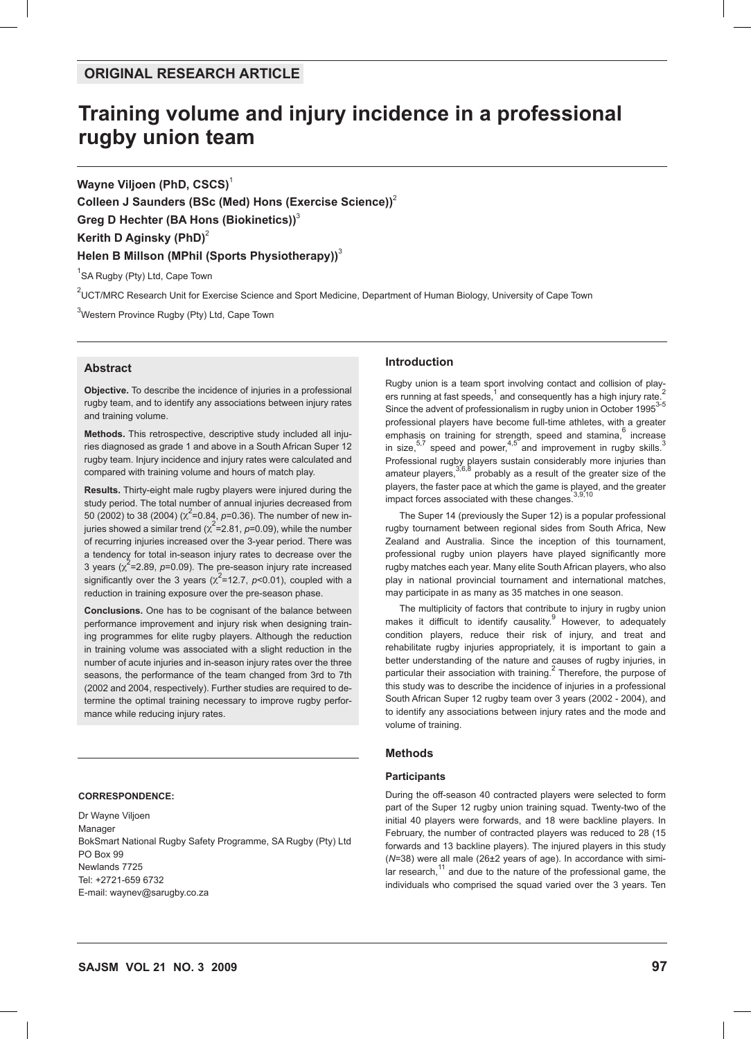# **Training volume and injury incidence in a professional rugby union team**

**Wayne Viljoen (PhD, CSCS)** 1

**Colleen J Saunders (BSc (Med) Hons (Exercise Science))**<sup>2</sup> **Greg D Hechter (BA Hons (Biokinetics))**<sup>3</sup> **Kerith D Aginsky (PhD)**<sup>2</sup> **Helen B Millson (MPhil (Sports Physiotherapy))**<sup>3</sup>

<sup>1</sup>SA Rugby (Pty) Ltd, Cape Town

<sup>2</sup>UCT/MRC Research Unit for Exercise Science and Sport Medicine, Department of Human Biology, University of Cape Town

<sup>3</sup>Western Province Rugby (Pty) Ltd, Cape Town

# **Abstract**

**Objective.** To describe the incidence of injuries in a professional rugby team, and to identify any associations between injury rates and training volume.

**Methods.** This retrospective, descriptive study included all injuries diagnosed as grade 1 and above in a South African Super 12 rugby team. Injury incidence and injury rates were calculated and compared with training volume and hours of match play.

**Results.** Thirty-eight male rugby players were injured during the study period. The total number of annual injuries decreased from 50 (2002) to 38 (2004) ( $\chi^2$ =0.84, p=0.36). The number of new injuries showed a similar trend ( $\chi^2$ =2.81, *p*=0.09), while the number of recurring injuries increased over the 3-year period. There was a tendency for total in-season injury rates to decrease over the 3 years  $(x^2=2.89, p=0.09)$ . The pre-season injury rate increased significantly over the 3 years  $(x^2=12.7, p<0.01)$ , coupled with a reduction in training exposure over the pre-season phase.

**Conclusions.** One has to be cognisant of the balance between performance improvement and injury risk when designing training programmes for elite rugby players. Although the reduction in training volume was associated with a slight reduction in the number of acute injuries and in-season injury rates over the three seasons, the performance of the team changed from 3rd to 7th (2002 and 2004, respectively). Further studies are required to determine the optimal training necessary to improve rugby performance while reducing injury rates.

#### **CORRESPONDENCE:**

Dr Wayne Viljoen **Manager** BokSmart National Rugby Safety Programme, SA Rugby (Pty) Ltd PO Box 99 Newlands 7725 Tel: +2721-659 6732 E-mail: waynev@sarugby.co.za

## **Introduction**

Rugby union is a team sport involving contact and collision of players running at fast speeds,  $1$  and consequently has a high injury rate.<sup>2</sup> Since the advent of professionalism in rugby union in October 1995<sup>3-5</sup> professional players have become full-time athletes, with a greater emphasis on training for strength, speed and stamina,  $6 \text{ increase}$ in size,  $57$  speed and power,  $4.5^\circ$  and improvement in rugby skills.<sup>3</sup> Professional rugby players sustain considerably more injuries than<br>amateur players,<sup>3,6,8</sup> probably as a result of the greater size of the players, the faster pace at which the game is played, and the greater impact forces associated with these changes.

The Super 14 (previously the Super 12) is a popular professional rugby tournament between regional sides from South Africa, New Zealand and Australia. Since the inception of this tournament, professional rugby union players have played significantly more rugby matches each year. Many elite South African players, who also play in national provincial tournament and international matches, may participate in as many as 35 matches in one season.

The multiplicity of factors that contribute to injury in rugby union makes it difficult to identify causality.<sup>9</sup> However, to adequately condition players, reduce their risk of injury, and treat and rehabilitate rugby injuries appropriately, it is important to gain a better understanding of the nature and causes of rugby injuries, in particular their association with training.<sup>2</sup> Therefore, the purpose of this study was to describe the incidence of injuries in a professional South African Super 12 rugby team over 3 years (2002 - 2004), and to identify any associations between injury rates and the mode and volume of training.

#### **Methods**

# **Participants**

During the off-season 40 contracted players were selected to form part of the Super 12 rugby union training squad. Twenty-two of the initial 40 players were forwards, and 18 were backline players. In February, the number of contracted players was reduced to 28 (15 forwards and 13 backline players). The injured players in this study (*N*=38) were all male (26±2 years of age). In accordance with similar research,<sup>11</sup> and due to the nature of the professional game, the individuals who comprised the squad varied over the 3 years. Ten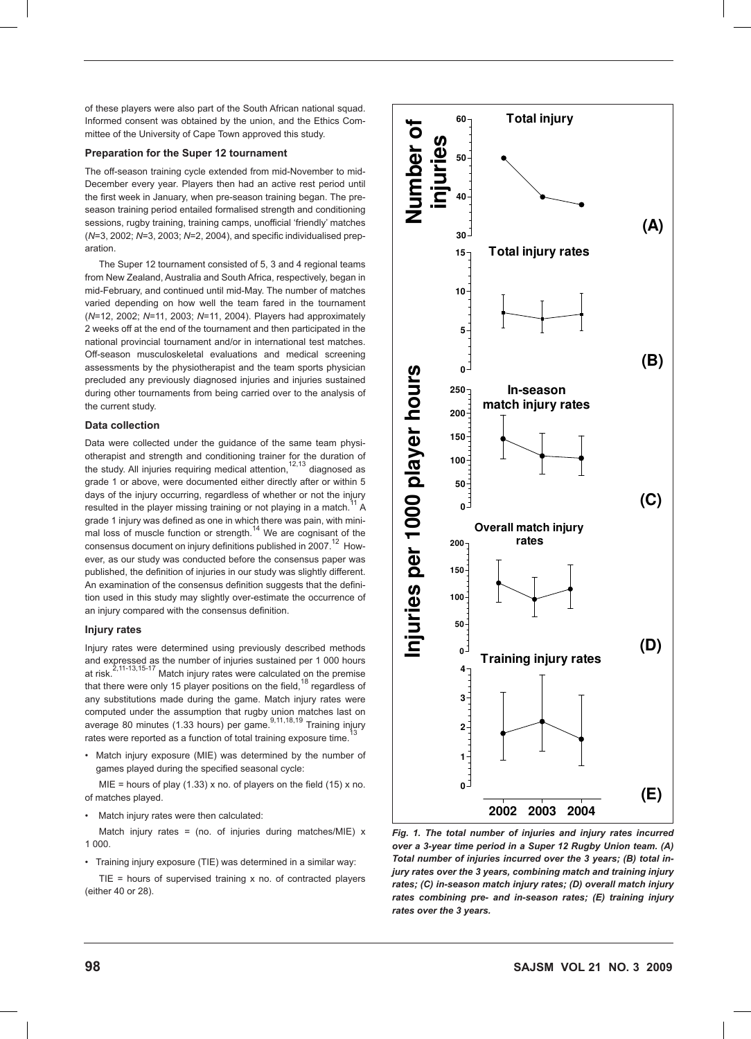of these players were also part of the South African national squad. Informed consent was obtained by the union, and the Ethics Committee of the University of Cape Town approved this study.

# **Preparation for the Super 12 tournament**

The off-season training cycle extended from mid-November to mid-December every year. Players then had an active rest period until the first week in January, when pre-season training began. The preseason training period entailed formalised strength and conditioning sessions, rugby training, training camps, unofficial 'friendly' matches (*N*=3, 2002; *N*=3, 2003; *N*=2, 2004), and specific individualised preparation.

The Super 12 tournament consisted of 5, 3 and 4 regional teams from New Zealand, Australia and South Africa, respectively, began in mid-February, and continued until mid-May. The number of matches varied depending on how well the team fared in the tournament (*N*=12, 2002; *N*=11, 2003; *N*=11, 2004). Players had approximately 2 weeks off at the end of the tournament and then participated in the national provincial tournament and/or in international test matches. Off-season musculoskeletal evaluations and medical screening assessments by the physiotherapist and the team sports physician precluded any previously diagnosed injuries and injuries sustained during other tournaments from being carried over to the analysis of the current study.

# **Data collection**

Data were collected under the guidance of the same team physiotherapist and strength and conditioning trainer for the duration of the study. All injuries requiring medical attention,  $12,13$  diagnosed as grade 1 or above, were documented either directly after or within 5 days of the injury occurring, regardless of whether or not the injury resulted in the player missing training or not playing in a match.<sup>11</sup> A grade 1 injury was defined as one in which there was pain, with mini-<br>mal loss of muscle function or strength.<sup>14</sup> We are cognisant of the consensus document on injury definitions published in  $2007.<sup>12</sup>$  However, as our study was conducted before the consensus paper was published, the definition of injuries in our study was slightly different. An examination of the consensus definition suggests that the definition used in this study may slightly over-estimate the occurrence of an injury compared with the consensus definition.

#### **Injury rates**

Injury rates were determined using previously described methods and expressed as the number of injuries sustained per 1 000 hours<br>at risk.<sup>2,11-13,15-17</sup> Match injury rates were calculated on the premise that there were only 15 player positions on the field,  $18$  regardless of any substitutions made during the game. Match injury rates were computed under the assumption that rugby union matches last on<br>average 80 minutes (1.33 hours) per game.<sup>9,11,18,19</sup> Training injury rates were reported as a function of total training exposure time.

• Match injury exposure (MIE) was determined by the number of games played during the specified seasonal cycle:

MIE = hours of play (1.33) x no. of players on the field (15) x no. of matches played.

• Match injury rates were then calculated:

Match injury rates = (no. of injuries during matches/MIE)  $x$ 1 000.

• Training injury exposure (TIE) was determined in a similar way:

 $TIE = hours$  of supervised training x no. of contracted players (either 40 or 28).



Fig. 1. The total number of injuries and injury rates incurred *over a 3-year time period in a Super 12 Rugby Union team. (A) Total number of injuries incurred over the 3 years; (B) total injury rates over the 3 years, combining match and training injury rates; (C) in-season match injury rates; (D) overall match injury rates combining pre- and in-season rates; (E) training injury rates over the 3 years.*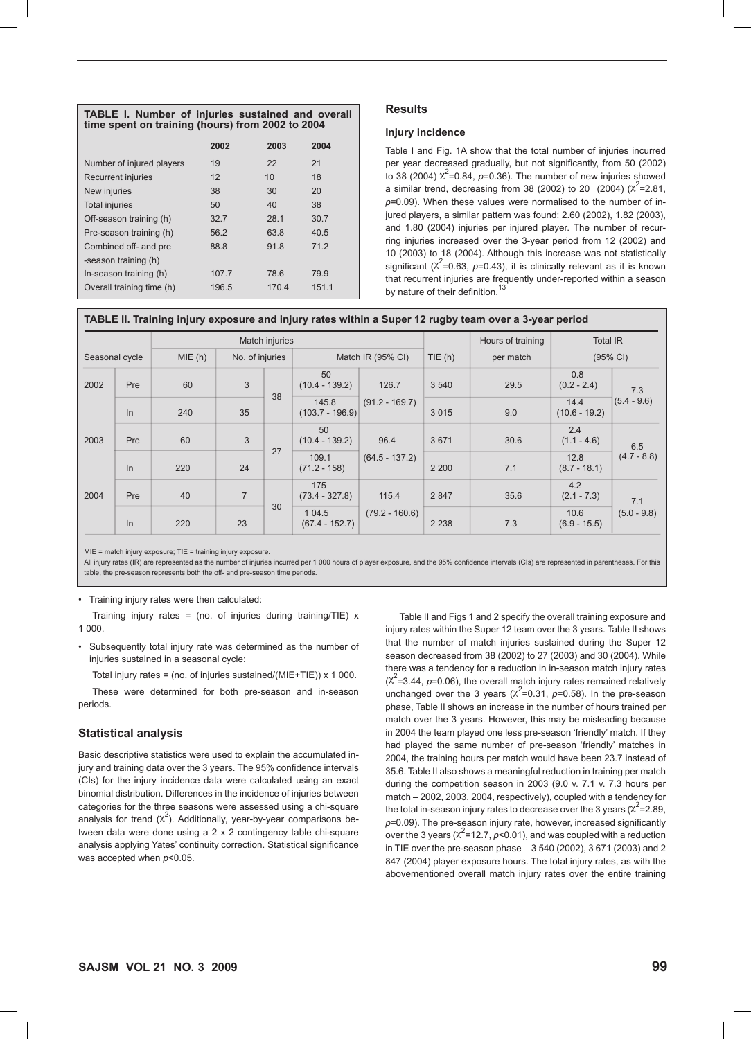|                           | 2002  | 2003  | 2004  |
|---------------------------|-------|-------|-------|
| Number of injured players | 19    | 22    | 21    |
| Recurrent injuries        | 12    | 10    | 18    |
| New injuries              | 38    | 30    | 20    |
| <b>Total injuries</b>     | 50    | 40    | 38    |
| Off-season training (h)   | 32.7  | 28.1  | 30.7  |
| Pre-season training (h)   | 56.2  | 63.8  | 40.5  |
| Combined off- and pre     | 88.8  | 91.8  | 71.2  |
| -season training (h)      |       |       |       |
| In-season training (h)    | 107.7 | 78.6  | 79.9  |
| Overall training time (h) | 196.5 | 170.4 | 151.1 |

# **Results**

# **Injury incidence**

Table I and Fig. 1A show that the total number of injuries incurred per year decreased gradually, but not significantly, from 50 (2002) to 38 (2004)  $\chi^2$ =0.84,  $p$ =0.36). The number of new injuries showed a similar trend, decreasing from 38 (2002) to 20 (2004)  $(x^2=2.81,$ *p*=0.09). When these values were normalised to the number of injured players, a similar pattern was found: 2.60 (2002), 1.82 (2003), and 1.80 (2004) injuries per injured player. The number of recurring injuries increased over the 3-year period from 12 (2002) and 10 (2003) to 18 (2004). Although this increase was not statistically significant ( $\chi^2$ =0.63, p=0.43), it is clinically relevant as it is known that recurrent injuries are frequently under-reported within a season by nature of their definition.<sup>1</sup>

|  |  |  | TABLE II. Training injury exposure and injury rates within a Super 12 rugby team over a 3-year period |  |
|--|--|--|-------------------------------------------------------------------------------------------------------|--|
|  |  |  |                                                                                                       |  |

|      |                          | Match injuries |                 |    |                            |                  |         | Hours of training | <b>Total IR</b>         |                      |
|------|--------------------------|----------------|-----------------|----|----------------------------|------------------|---------|-------------------|-------------------------|----------------------|
|      | MIE(h)<br>Seasonal cycle |                | No. of injuries |    | Match IR (95% CI)          |                  | TIE(h)  | per match         | (95% CI)                |                      |
| 2002 | Pre                      | 60             | 3               | 38 | 50<br>$(10.4 - 139.2)$     | 126.7            | 3 5 4 0 | 29.5              | 0.8<br>$(0.2 - 2.4)$    | 7.3<br>$(5.4 - 9.6)$ |
|      | $\ln$                    | 240            | 35              |    | 145.8<br>$(103.7 - 196.9)$ | $(91.2 - 169.7)$ | 3015    | 9.0               | 14.4<br>$(10.6 - 19.2)$ |                      |
| 2003 | Pre                      | 60             | 3               | 27 | 50<br>$(10.4 - 139.2)$     | 96.4             | 3671    | 30.6              | 2.4<br>$(1.1 - 4.6)$    | 6.5<br>$(4.7 - 8.8)$ |
|      | $\ln$                    | 220            | 24              |    | 109.1<br>$(71.2 - 158)$    | $(64.5 - 137.2)$ | 2 2 0 0 | 7.1               | 12.8<br>$(8.7 - 18.1)$  |                      |
| 2004 | Pre                      | 40             | $\overline{7}$  | 30 | 175<br>$(73.4 - 327.8)$    | 115.4            | 2 8 4 7 | 35.6              | 4.2<br>$(2.1 - 7.3)$    | 7.1<br>$(5.0 - 9.8)$ |
|      | ln                       | 220            | 23              |    | 1 04.5<br>$(67.4 - 152.7)$ | $(79.2 - 160.6)$ | 2 2 3 8 | 7.3               | 10.6<br>$(6.9 - 15.5)$  |                      |

MIE = match injury exposure; TIE = training injury exposure.

All injury rates (IR) are represented as the number of injuries incurred per 1 000 hours of player exposure, and the 95% confidence intervals (CIs) are represented in parentheses. For this table, the pre-season represents both the off- and pre-season time periods.

• Training injury rates were then calculated:

Training injury rates = (no. of injuries during training/TIE)  $x$ 1 000.

• Subsequently total injury rate was determined as the number of injuries sustained in a seasonal cycle:

Total injury rates = (no. of injuries sustained/( $MIE+TIE$ )) x 1 000. These were determined for both pre-season and in-season periods.

## **Statistical analysis**

Basic descriptive statistics were used to explain the accumulated injury and training data over the 3 years. The 95% confidence intervals (CIs) for the injury incidence data were calculated using an exact binomial distribution. Differences in the incidence of injuries between categories for the three seasons were assessed using a chi-square analysis for trend  $(x^2)$ . Additionally, year-by-year comparisons between data were done using a 2 x 2 contingency table chi-square analysis applying Yates' continuity correction. Statistical significance was accepted when *p*<0.05.

Table II and Figs 1 and 2 specify the overall training exposure and injury rates within the Super 12 team over the 3 years. Table II shows that the number of match injuries sustained during the Super 12 season decreased from 38 (2002) to 27 (2003) and 30 (2004). While there was a tendency for a reduction in in-season match injury rates  $(x^2=3.44, p=0.06)$ , the overall match injury rates remained relatively unchanged over the 3 years  $(x^2=0.31, p=0.58)$ . In the pre-season phase, Table II shows an increase in the number of hours trained per match over the 3 years. However, this may be misleading because in 2004 the team played one less pre-season 'friendly' match. If they had played the same number of pre-season 'friendly' matches in 2004, the training hours per match would have been 23.7 instead of 35.6. Table II also shows a meaningful reduction in training per match during the competition season in 2003 (9.0 v. 7.1 v. 7.3 hours per match – 2002, 2003, 2004, respectively), coupled with a tendency for the total in-season injury rates to decrease over the 3 years ( $\chi^2$ =2.89, *p*=0.09). The pre-season injury rate, however, increased significantly over the 3 years ( $\chi^2$ =12.7,  $p$ <0.01), and was coupled with a reduction in TIE over the pre-season phase – 3 540 (2002), 3 671 (2003) and 2 847 (2004) player exposure hours. The total injury rates, as with the abovementioned overall match injury rates over the entire training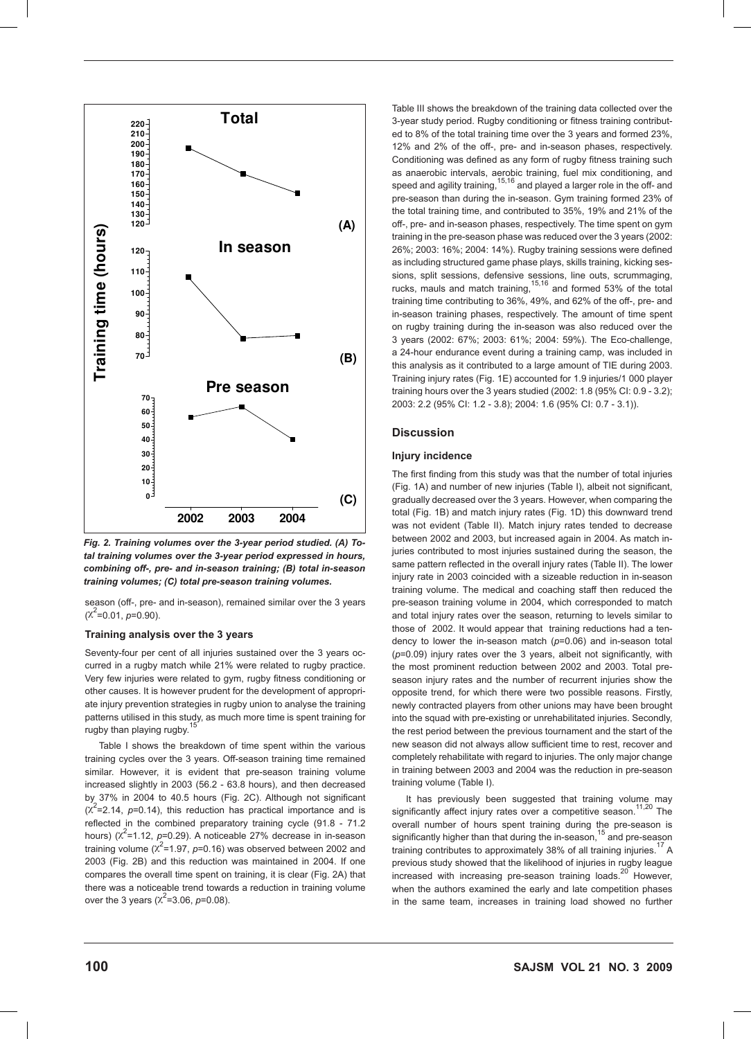

*Fig. 2. Training volumes over the 3-year period studied. (A) Total training volumes over the 3-year period expressed in hours, combining off-, pre- and in-season training; (B) total in-season training volumes; (C) total pre-season training volumes.*

season (off-, pre- and in-season), remained similar over the 3 years  $(X^2=0.01, p=0.90)$ .

## **Training analysis over the 3 years**

Seventy-four per cent of all injuries sustained over the 3 years occurred in a rugby match while 21% were related to rugby practice. Very few injuries were related to gym, rugby fitness conditioning or other causes. It is however prudent for the development of appropriate injury prevention strategies in rugby union to analyse the training patterns utilised in this study, as much more time is spent training for rugby than playing rugby.

Table I shows the breakdown of time spent within the various training cycles over the 3 years. Off-season training time remained similar. However, it is evident that pre-season training volume increased slightly in 2003 (56.2 - 63.8 hours), and then decreased by 37% in 2004 to 40.5 hours (Fig. 2C). Although not significant  $(x^2=2.14, p=0.14)$ , this reduction has practical importance and is reflected in the combined preparatory training cycle (91.8 - 71.2 hours)  $(\chi^2$ =1.12, *p*=0.29). A noticeable 27% decrease in in-season training volume  $(x^2=1.97, p=0.16)$  was observed between 2002 and 2003 (Fig. 2B) and this reduction was maintained in 2004. If one compares the overall time spent on training, it is clear (Fig. 2A) that there was a noticeable trend towards a reduction in training volume over the 3 years ( $\chi^2$ =3.06, *p*=0.08).

Table III shows the breakdown of the training data collected over the 3-year study period. Rugby conditioning or fitness training contributed to 8% of the total training time over the 3 years and formed 23%, 12% and 2% of the off-, pre- and in-season phases, respectively. Conditioning was defined as any form of rugby fitness training such as anaerobic intervals, aerobic training, fuel mix conditioning, and speed and agility training,<sup>15,16</sup> and played a larger role in the off- and pre-season than during the in-season. Gym training formed 23% of the total training time, and contributed to 35%, 19% and 21% of the off-, pre- and in-season phases, respectively. The time spent on gym training in the pre-season phase was reduced over the 3 years (2002: 26%; 2003: 16%; 2004: 14%). Rugby training sessions were defined as including structured game phase plays, skills training, kicking sessions, split sessions, defensive sessions, line outs, scrummaging, rucks, mauls and match training,<sup>15,16</sup> and formed 53% of the total training time contributing to 36%, 49%, and 62% of the off-, pre- and in-season training phases, respectively. The amount of time spent on rugby training during the in-season was also reduced over the 3 years (2002: 67%; 2003: 61%; 2004: 59%). The Eco-challenge, a 24-hour endurance event during a training camp, was included in this analysis as it contributed to a large amount of TIE during 2003. Training injury rates (Fig. 1E) accounted for 1.9 injuries/1 000 player training hours over the 3 years studied (2002: 1.8 (95% CI: 0.9 - 3.2); 2003: 2.2 (95% CI: 1.2 - 3.8); 2004: 1.6 (95% CI: 0.7 - 3.1)).

## **Discussion**

# **Injury incidence**

The first finding from this study was that the number of total injuries (Fig. 1A) and number of new injuries (Table I), albeit not significant, gradually decreased over the 3 years. However, when comparing the total (Fig. 1B) and match injury rates (Fig. 1D) this downward trend was not evident (Table II). Match injury rates tended to decrease between 2002 and 2003, but increased again in 2004. As match injuries contributed to most injuries sustained during the season, the same pattern reflected in the overall injury rates (Table II). The lower injury rate in 2003 coincided with a sizeable reduction in in-season training volume. The medical and coaching staff then reduced the pre-season training volume in 2004, which corresponded to match and total injury rates over the season, returning to levels similar to those of 2002. It would appear that training reductions had a tendency to lower the in-season match (*p*=0.06) and in-season total (*p*=0.09) injury rates over the 3 years, albeit not significantly, with the most prominent reduction between 2002 and 2003. Total preseason injury rates and the number of recurrent injuries show the opposite trend, for which there were two possible reasons. Firstly, newly contracted players from other unions may have been brought into the squad with pre-existing or unrehabilitated injuries. Secondly, the rest period between the previous tournament and the start of the new season did not always allow sufficient time to rest, recover and completely rehabilitate with regard to injuries. The only major change in training between 2003 and 2004 was the reduction in pre-season training volume (Table I).

It has previously been suggested that training volume may significantly affect injury rates over a competitive season.<sup>11,20</sup> The overall number of hours spent training during the pre-season is significantly higher than that during the in-season,  $15$  and pre-season training contributes to approximately 38% of all training injuries.<sup>17</sup> A previous study showed that the likelihood of injuries in rugby league increased with increasing pre-season training loads.<sup>20</sup> However, when the authors examined the early and late competition phases in the same team, increases in training load showed no further